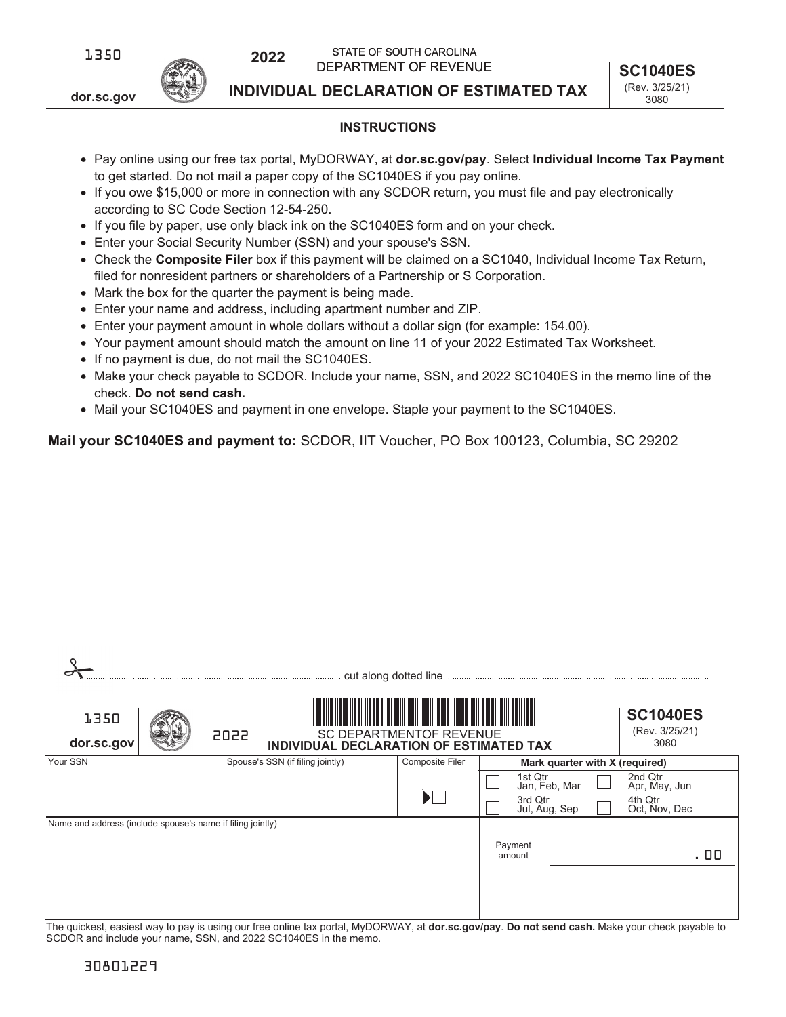

**dor.sc.gov**

**INDIVIDUAL DECLARATION OF ESTIMATED TAX**

## **INSTRUCTIONS**

- Pay online using our free tax portal, MyDORWAY, at **dor.sc.gov/pay**. Select **Individual Income Tax Payment**  to get started. Do not mail a paper copy of the SC1040ES if you pay online.
- If you owe \$15,000 or more in connection with any SCDOR return, you must file and pay electronically according to SC Code Section 12-54-250.
- If you file by paper, use only black ink on the SC1040ES form and on your check.
- Enter your Social Security Number (SSN) and your spouse's SSN.
- Check the **Composite Filer** box if this payment will be claimed on a SC1040, Individual Income Tax Return, filed for nonresident partners or shareholders of a Partnership or S Corporation.
- Mark the box for the quarter the payment is being made.
- Enter your name and address, including apartment number and ZIP.
- Enter your payment amount in whole dollars without a dollar sign (for example: 154.00).
- Your payment amount should match the amount on line 11 of your 2022 Estimated Tax Worksheet.
- If no payment is due, do not mail the SC1040ES.
- Make your check payable to SCDOR. Include your name, SSN, and 2022 SC1040ES in the memo line of the check. **Do not send cash.**
- Mail your SC1040ES and payment in one envelope. Staple your payment to the SC1040ES.

**Mail your SC1040ES and payment to:** SCDOR, IIT Voucher, PO Box 100123, Columbia, SC 29202

|                                                            |      | cut along dotted line                   |                                |                                |                                           |  |
|------------------------------------------------------------|------|-----------------------------------------|--------------------------------|--------------------------------|-------------------------------------------|--|
| 1350<br>dor.sc.gov                                         | 2022 | INDIVIDUAL DECLARATION OF ESTIMATED TAX | <b>SC DEPARTMENTOF REVENUE</b> |                                | <b>SC1040ES</b><br>(Rev. 3/25/21)<br>3080 |  |
| Your SSN                                                   |      | Spouse's SSN (if filing jointly)        | Composite Filer                | Mark quarter with X (required) |                                           |  |
|                                                            |      |                                         |                                | 1st Qtr<br>Jan, Feb, Mar       | 2nd Qtr<br>Apr, May, Jun                  |  |
|                                                            |      |                                         | $\blacktriangleright$ $\Box$   | 3rd Qtr<br>Jul, Aug, Sep       | 4th Qtr<br>Oct, Nov, Dec                  |  |
| Name and address (include spouse's name if filing jointly) |      |                                         |                                |                                |                                           |  |
|                                                            |      |                                         |                                | Payment<br>amount              | . 00                                      |  |
|                                                            |      |                                         |                                |                                |                                           |  |
|                                                            |      |                                         |                                |                                |                                           |  |

The quickest, easiest way to pay is using our free online tax portal, MyDORWAY, at **dor.sc.gov/pay**. **Do not send cash.** Make your check payable to SCDOR and include your name, SSN, and 2022 SC1040ES in the memo.

 $\Omega$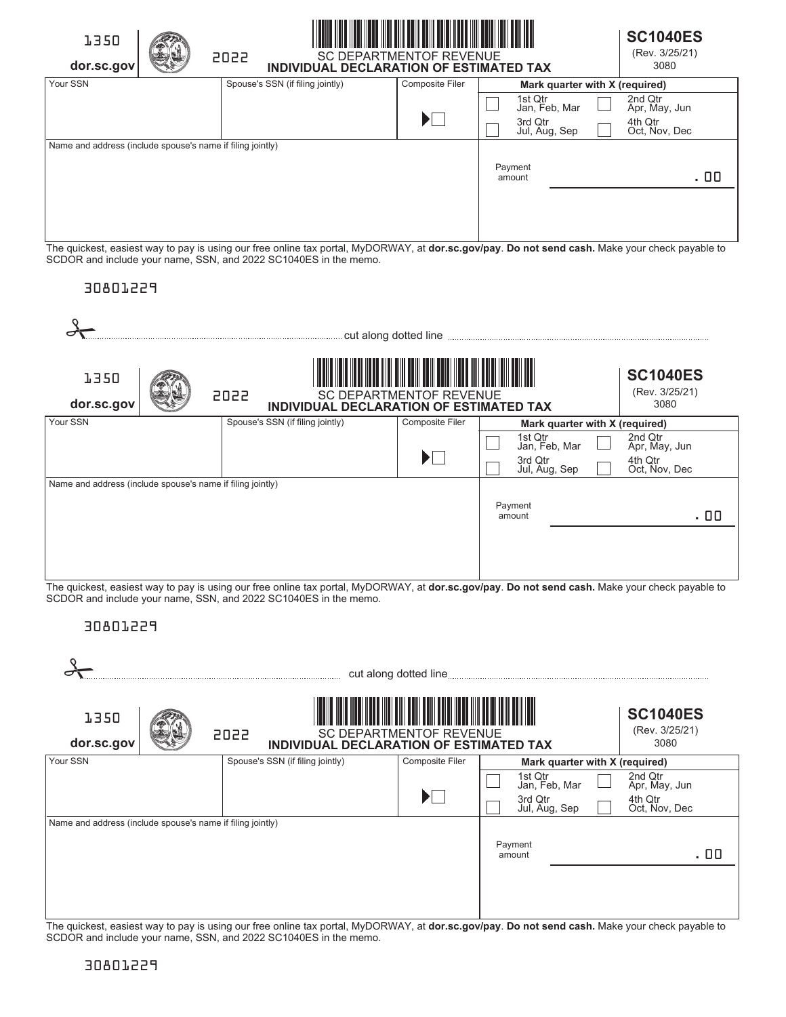| 1350<br>dor.sc.gov                                         | <b>IIII</b><br><b>SC DEPARTMENTOF REVENUE</b><br>2022<br>INDIVIDUAL DECLARATION OF ESTIMATED TAX |                           |                          |                                |                          |      |  |  |
|------------------------------------------------------------|--------------------------------------------------------------------------------------------------|---------------------------|--------------------------|--------------------------------|--------------------------|------|--|--|
| Your SSN                                                   | Spouse's SSN (if filing jointly)                                                                 | Composite Filer           |                          | Mark quarter with X (required) |                          |      |  |  |
|                                                            |                                                                                                  |                           | 1st Qtr<br>Jan, Feb, Mar |                                | 2nd Qtr<br>Apr, May, Jun |      |  |  |
|                                                            |                                                                                                  | $\blacktriangleright\Box$ | 3rd Qtr<br>Jul, Aug, Sep |                                | 4th Qtr<br>Oct, Nov, Dec |      |  |  |
| Name and address (include spouse's name if filing jointly) |                                                                                                  |                           |                          |                                |                          |      |  |  |
|                                                            |                                                                                                  |                           | Payment<br>amount        |                                |                          | . 00 |  |  |
|                                                            |                                                                                                  |                           |                          |                                |                          |      |  |  |

The quickest, easiest way to pay is using our free online tax portal, MyDORWAY, at **dor.sc.gov/pay**. **Do not send cash.** Make your check payable to SCDOR and include your name, SSN, and 2022 SC1040ES in the memo.

# 30801229

|                                                            |                                                 | cut along dotted line          |                                                      |                                                      |  |
|------------------------------------------------------------|-------------------------------------------------|--------------------------------|------------------------------------------------------|------------------------------------------------------|--|
| 1350<br>dor.sc.gov                                         | 2022<br>INDIVIDUAL DECLARATION OF ESTIMATED TAX | <b>SC DEPARTMENTOF REVENUE</b> |                                                      | <b>SC1040ES</b><br>(Rev. 3/25/21)<br>3080            |  |
| Your SSN                                                   | Spouse's SSN (if filing jointly)                | Composite Filer                | Mark quarter with X (required)                       |                                                      |  |
|                                                            |                                                 | $\blacktriangleright$          | 1st Qtr<br>Jan, Feb, Mar<br>3rd Qtr<br>Jul, Aug, Sep | 2nd Qtr<br>Apr, May, Jun<br>4th Qtr<br>Oct, Nov, Dec |  |
| Name and address (include spouse's name if filing jointly) |                                                 |                                |                                                      |                                                      |  |
|                                                            |                                                 |                                | Payment<br>amount                                    | . 00                                                 |  |

The quickest, easiest way to pay is using our free online tax portal, MyDORWAY, at **dor.sc.gov/pay**. **Do not send cash.** Make your check payable to SCDOR and include your name, SSN, and 2022 SC1040ES in the memo.

# 30801229

| 1350<br>dor.sc.gov                                         | 2022 | INDIVIDUAL DECLARATION OF ESTIMATED TAX | <b>SC DEPARTMENTOF REVENUE</b> |                                                      | <b>SC1040ES</b><br>(Rev. 3/25/21)<br>3080            |  |
|------------------------------------------------------------|------|-----------------------------------------|--------------------------------|------------------------------------------------------|------------------------------------------------------|--|
| Your SSN                                                   |      | Spouse's SSN (if filing jointly)        | Composite Filer                | Mark quarter with X (required)                       |                                                      |  |
|                                                            |      |                                         | $\blacktriangleright$          | 1st Qtr<br>Jan, Feb, Mar<br>3rd Qtr<br>Jul, Aug, Sep | 2nd Qtr<br>Apr, May, Jun<br>4th Qtr<br>Oct, Nov, Dec |  |
| Name and address (include spouse's name if filing jointly) |      |                                         |                                |                                                      |                                                      |  |
|                                                            |      |                                         |                                | Payment<br>amount                                    | . 00                                                 |  |

The quickest, easiest way to pay is using our free online tax portal, MyDORWAY, at **dor.sc.gov/pay**. **Do not send cash.** Make your check payable to SCDOR and include your name, SSN, and 2022 SC1040ES in the memo.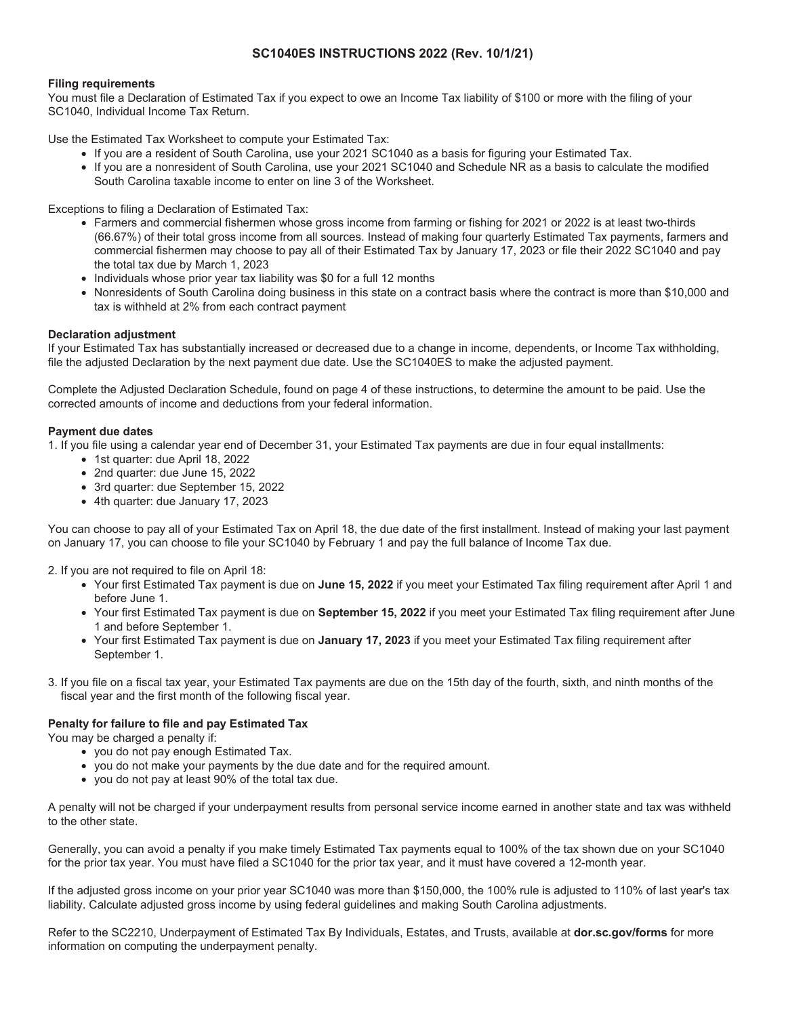## **SC1040ES INSTRUCTIONS 2022 (Rev. 10/1/21)**

#### **Filing requirements**

You must file a Declaration of Estimated Tax if you expect to owe an Income Tax liability of \$100 or more with the filing of your SC1040, Individual Income Tax Return.

Use the Estimated Tax Worksheet to compute your Estimated Tax:

- If you are a resident of South Carolina, use your 2021 SC1040 as a basis for figuring your Estimated Tax.
- If you are a nonresident of South Carolina, use your 2021 SC1040 and Schedule NR as a basis to calculate the modified South Carolina taxable income to enter on line 3 of the Worksheet.

Exceptions to filing a Declaration of Estimated Tax:

- Farmers and commercial fishermen whose gross income from farming or fishing for 2021 or 2022 is at least two-thirds (66.67%) of their total gross income from all sources. Instead of making four quarterly Estimated Tax payments, farmers and commercial fishermen may choose to pay all of their Estimated Tax by January 17, 2023 or file their 2022 SC1040 and pay the total tax due by March 1, 2023
- Individuals whose prior year tax liability was \$0 for a full 12 months
- Nonresidents of South Carolina doing business in this state on a contract basis where the contract is more than \$10,000 and tax is withheld at 2% from each contract payment

### **Declaration adjustment**

If your Estimated Tax has substantially increased or decreased due to a change in income, dependents, or Income Tax withholding, file the adjusted Declaration by the next payment due date. Use the SC1040ES to make the adjusted payment.

Complete the Adjusted Declaration Schedule, found on page 4 of these instructions, to determine the amount to be paid. Use the corrected amounts of income and deductions from your federal information.

### **Payment due dates**

1. If you file using a calendar year end of December 31, your Estimated Tax payments are due in four equal installments:

- 1st quarter: due April 18, 2022
- 2nd quarter: due June 15, 2022
- 3rd quarter: due September 15, 2022
- 4th quarter: due January 17, 2023

You can choose to pay all of your Estimated Tax on April 18, the due date of the first installment. Instead of making your last payment on January 17, you can choose to file your SC1040 by February 1 and pay the full balance of Income Tax due.

2. If you are not required to file on April 18:

- Your first Estimated Tax payment is due on **June 15, 2022** if you meet your Estimated Tax filing requirement after April 1 and before June 1.
- Your first Estimated Tax payment is due on **September 15, 2022** if you meet your Estimated Tax filing requirement after June 1 and before September 1.
- Your first Estimated Tax payment is due on **January 17, 2023** if you meet your Estimated Tax filing requirement after September 1.
- 3. If you file on a fiscal tax year, your Estimated Tax payments are due on the 15th day of the fourth, sixth, and ninth months of the fiscal year and the first month of the following fiscal year.

## **Penalty for failure to file and pay Estimated Tax**

You may be charged a penalty if:

- you do not pay enough Estimated Tax.
- you do not make your payments by the due date and for the required amount.
- you do not pay at least 90% of the total tax due.

A penalty will not be charged if your underpayment results from personal service income earned in another state and tax was withheld to the other state.

Generally, you can avoid a penalty if you make timely Estimated Tax payments equal to 100% of the tax shown due on your SC1040 for the prior tax year. You must have filed a SC1040 for the prior tax year, and it must have covered a 12-month year.

If the adjusted gross income on your prior year SC1040 was more than \$150,000, the 100% rule is adjusted to 110% of last year's tax liability. Calculate adjusted gross income by using federal guidelines and making South Carolina adjustments.

Refer to the SC2210, Underpayment of Estimated Tax By Individuals, Estates, and Trusts, available at **dor.sc.gov/forms** for more information on computing the underpayment penalty.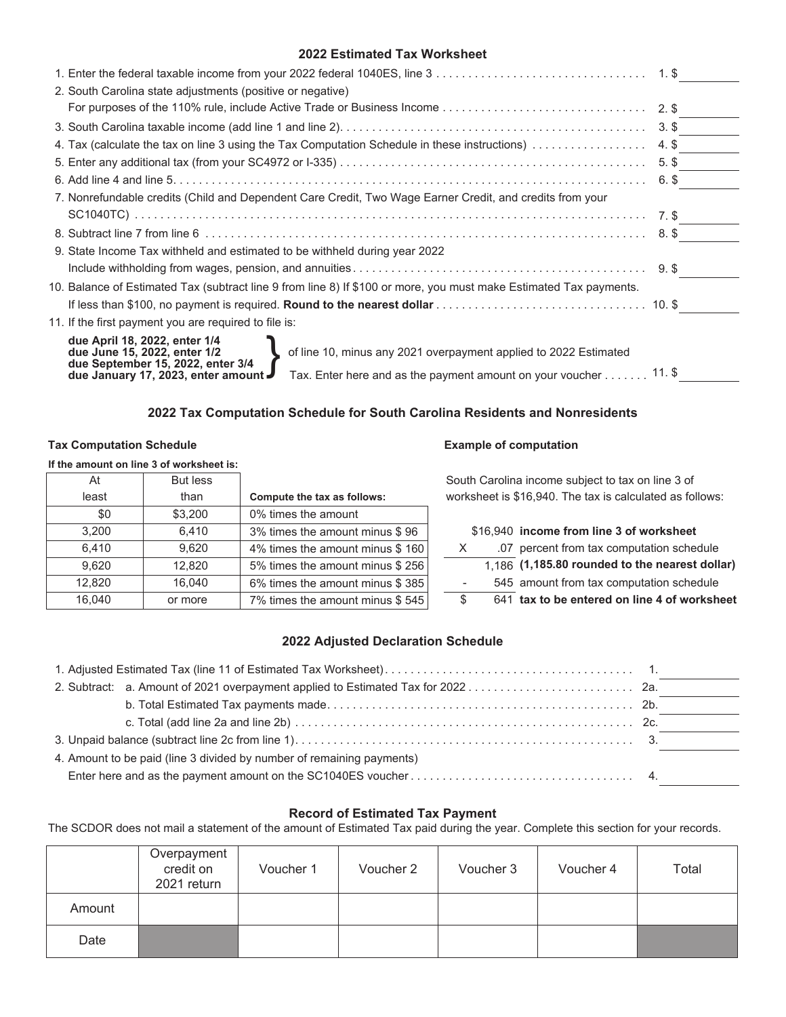## **2022 Estimated Tax Worksheet**

| 2. South Carolina state adjustments (positive or negative)                                                                                                             |       |  |  |  |
|------------------------------------------------------------------------------------------------------------------------------------------------------------------------|-------|--|--|--|
|                                                                                                                                                                        |       |  |  |  |
|                                                                                                                                                                        |       |  |  |  |
|                                                                                                                                                                        |       |  |  |  |
|                                                                                                                                                                        | 5. \$ |  |  |  |
|                                                                                                                                                                        |       |  |  |  |
| 7. Nonrefundable credits (Child and Dependent Care Credit, Two Wage Earner Credit, and credits from your                                                               |       |  |  |  |
|                                                                                                                                                                        |       |  |  |  |
|                                                                                                                                                                        |       |  |  |  |
| 9. State Income Tax withheld and estimated to be withheld during year 2022                                                                                             |       |  |  |  |
|                                                                                                                                                                        |       |  |  |  |
| 10. Balance of Estimated Tax (subtract line 9 from line 8) If \$100 or more, you must make Estimated Tax payments.                                                     |       |  |  |  |
|                                                                                                                                                                        |       |  |  |  |
| 11. If the first payment you are required to file is:                                                                                                                  |       |  |  |  |
| due April 18, 2022, enter 1/4<br>of line 10, minus any 2021 overpayment applied to 2022 Estimated<br>due June 15, 2022, enter 1/2<br>due September 15, 2022, enter 3/4 |       |  |  |  |
| Tax. Enter here and as the payment amount on your voucher 11. \$<br>due January 17, 2023, enter amount J                                                               |       |  |  |  |

## **2022 Tax Computation Schedule for South Carolina Residents and Nonresidents**

### Tax Computation Schedule **Example of computation**

## **If the amount on line 3 of worksheet is:**

| At     | <b>But less</b> |                                 |
|--------|-----------------|---------------------------------|
| least  | than            | Compute the tax as follows:     |
| \$0    | \$3,200         | 0% times the amount             |
| 3.200  | 6.410           | 3% times the amount minus \$96  |
| 6,410  | 9,620           | 4% times the amount minus \$160 |
| 9,620  | 12,820          | 5% times the amount minus \$256 |
| 12,820 | 16,040          | 6% times the amount minus \$385 |
| 16,040 | or more         | 7% times the amount minus \$545 |

South Carolina income subject to tax on line 3 of worksheet is \$16,940. The tax is calculated as follows:

\$16,940 income from line 3 of worksheet

K .07 percent from tax computation schedule

 $\overline{1,186}$  (1,185.80 rounded to the nearest dollar)

545 amount from tax computation schedule

 $\overline{\$}$  641 tax to be entered on line 4 of worksheet

## **2022 Adjusted Declaration Schedule**

| 4. Amount to be paid (line 3 divided by number of remaining payments) |  |  |  |  |  |
|-----------------------------------------------------------------------|--|--|--|--|--|
|                                                                       |  |  |  |  |  |
|                                                                       |  |  |  |  |  |

## **Record of Estimated Tax Payment**

The SCDOR does not mail a statement of the amount of Estimated Tax paid during the year. Complete this section for your records.

|        | Overpayment<br>credit on<br>2021 return | Voucher 1 | Voucher 2 | Voucher 3 | Voucher 4 | Total |
|--------|-----------------------------------------|-----------|-----------|-----------|-----------|-------|
| Amount |                                         |           |           |           |           |       |
| Date   |                                         |           |           |           |           |       |